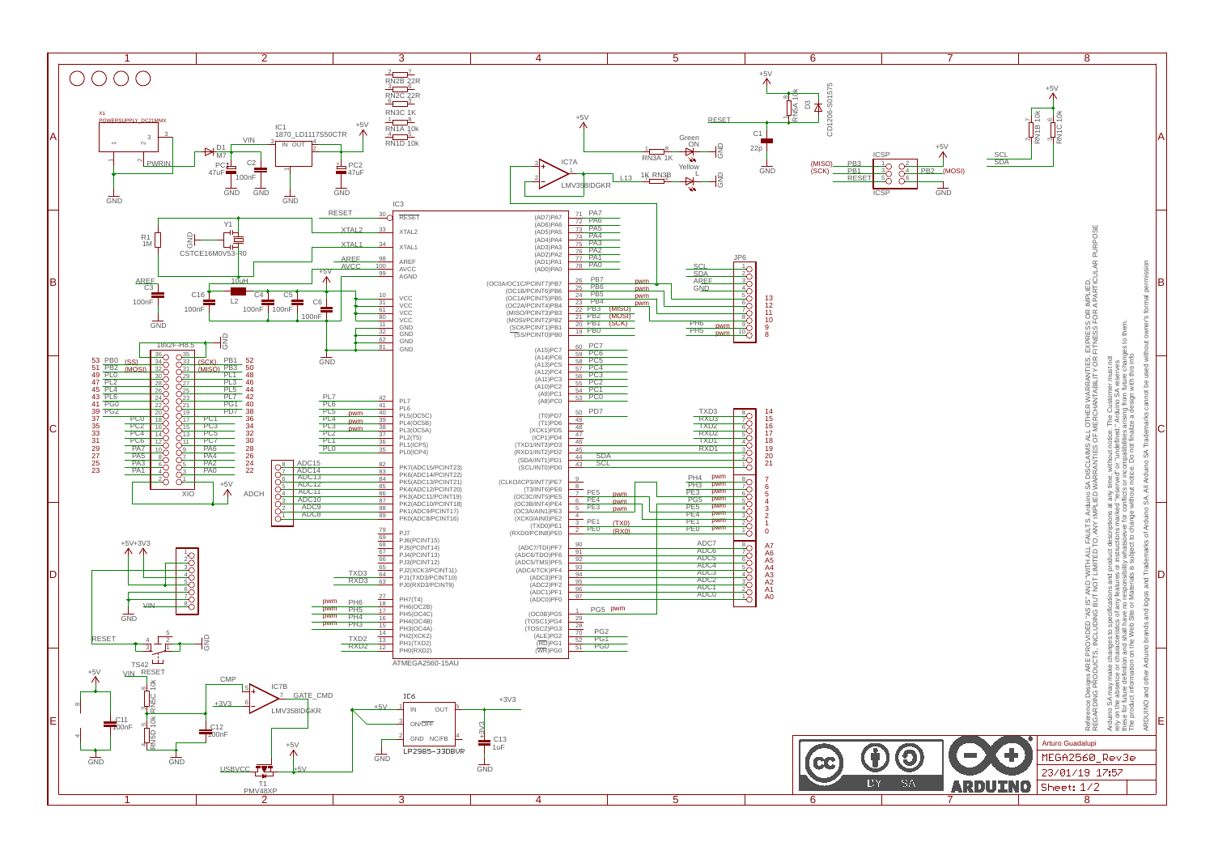

|                 | 7                                    |                                             | $\overline{8}$                                                                                                                                                                                                                    |                                                                                                                                                                                                                                                                                                                                                                                                                                                                                                                                                   |                                                                                                                                                     |   |
|-----------------|--------------------------------------|---------------------------------------------|-----------------------------------------------------------------------------------------------------------------------------------------------------------------------------------------------------------------------------------|---------------------------------------------------------------------------------------------------------------------------------------------------------------------------------------------------------------------------------------------------------------------------------------------------------------------------------------------------------------------------------------------------------------------------------------------------------------------------------------------------------------------------------------------------|-----------------------------------------------------------------------------------------------------------------------------------------------------|---|
| PB <sub>2</sub> | $+5V$<br>SCL<br>SDA<br>(MOSI)<br>GND | $+5\sqrt{ }$<br>RN1B 10K<br><b>RN1C 10k</b> |                                                                                                                                                                                                                                   |                                                                                                                                                                                                                                                                                                                                                                                                                                                                                                                                                   |                                                                                                                                                     | д |
|                 |                                      |                                             |                                                                                                                                                                                                                                   |                                                                                                                                                                                                                                                                                                                                                                                                                                                                                                                                                   |                                                                                                                                                     | B |
|                 |                                      |                                             | Reference Designs ARE PROVIDED "AS IS" AND "WITH ALL FAULTS. Arduino SA DISCLAMS ALL OTHER WARRANTIES, EXPRESS OR IMPLIED,<br>REGARDING PRODUCTS, INCLUDING BUT NOT LIMITED TO, ANY IMPLIED WARRANTIES OF MERCHANTABILITY OR FITN | these for future definition and shall have no responsibility whatsoever for conflicts or incompatibilities arising from future changes to them.<br>The product information on the Web Site or Materials is subject to change without notice. Do not finalize a design with this info<br>Arduino SA may make changes to specifications and product descriptions at any time, without notice. The Customer must not<br>rely on the absence or characteristics of any features or instructions marked "reserved" or "undefined." Arduino SA reserves | ARDUINO and other Arduino brands and logos and Trademarks of Arduino SA. All Arduino SA Trademarks cannot be used without owner's formal permission |   |
|                 |                                      |                                             |                                                                                                                                                                                                                                   |                                                                                                                                                                                                                                                                                                                                                                                                                                                                                                                                                   |                                                                                                                                                     | D |
|                 |                                      |                                             |                                                                                                                                                                                                                                   |                                                                                                                                                                                                                                                                                                                                                                                                                                                                                                                                                   |                                                                                                                                                     | E |
|                 |                                      |                                             | Arturo Guadalupi                                                                                                                                                                                                                  |                                                                                                                                                                                                                                                                                                                                                                                                                                                                                                                                                   |                                                                                                                                                     |   |
|                 |                                      | MEGA2560<br>23/01/19                        |                                                                                                                                                                                                                                   | Rev3e<br>17:57                                                                                                                                                                                                                                                                                                                                                                                                                                                                                                                                    |                                                                                                                                                     |   |
|                 |                                      | Sheet:                                      | 1/2                                                                                                                                                                                                                               |                                                                                                                                                                                                                                                                                                                                                                                                                                                                                                                                                   |                                                                                                                                                     |   |
|                 |                                      |                                             | $\overline{\mathbf{8}}$                                                                                                                                                                                                           |                                                                                                                                                                                                                                                                                                                                                                                                                                                                                                                                                   |                                                                                                                                                     |   |
|                 |                                      |                                             |                                                                                                                                                                                                                                   |                                                                                                                                                                                                                                                                                                                                                                                                                                                                                                                                                   |                                                                                                                                                     |   |